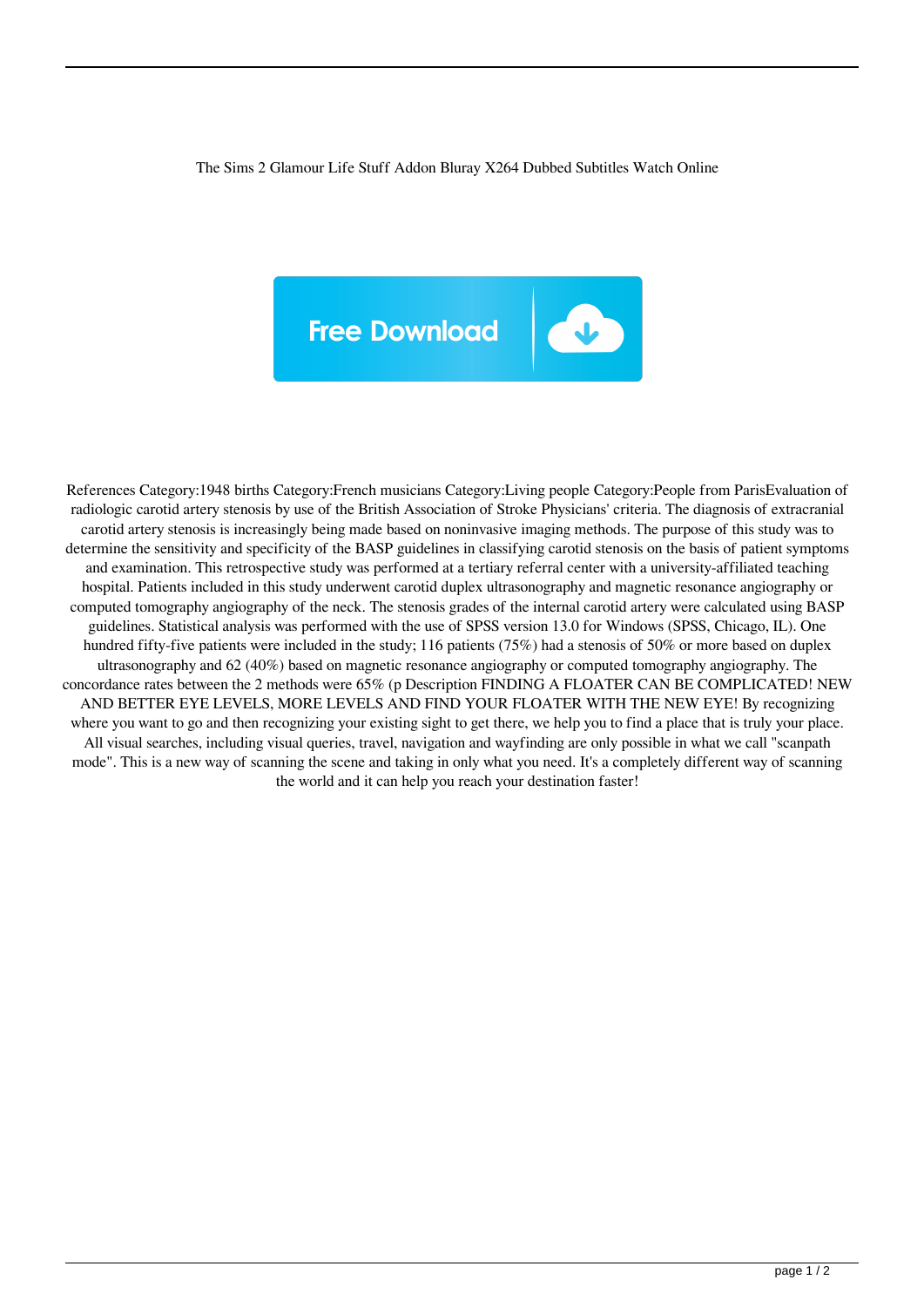The Sims 2 Glamour Life Stuff Addon Bluray X264 Dubbed Subtitles Watch Online



References Category:1948 births Category:French musicians Category:Living people Category:People from ParisEvaluation of radiologic carotid artery stenosis by use of the British Association of Stroke Physicians' criteria. The diagnosis of extracranial carotid artery stenosis is increasingly being made based on noninvasive imaging methods. The purpose of this study was to determine the sensitivity and specificity of the BASP guidelines in classifying carotid stenosis on the basis of patient symptoms and examination. This retrospective study was performed at a tertiary referral center with a university-affiliated teaching hospital. Patients included in this study underwent carotid duplex ultrasonography and magnetic resonance angiography or computed tomography angiography of the neck. The stenosis grades of the internal carotid artery were calculated using BASP guidelines. Statistical analysis was performed with the use of SPSS version 13.0 for Windows (SPSS, Chicago, IL). One hundred fifty-five patients were included in the study; 116 patients (75%) had a stenosis of 50% or more based on duplex ultrasonography and 62 (40%) based on magnetic resonance angiography or computed tomography angiography. The concordance rates between the 2 methods were 65% (p Description FINDING A FLOATER CAN BE COMPLICATED! NEW AND BETTER EYE LEVELS, MORE LEVELS AND FIND YOUR FLOATER WITH THE NEW EYE! By recognizing where you want to go and then recognizing your existing sight to get there, we help you to find a place that is truly your place. All visual searches, including visual queries, travel, navigation and wayfinding are only possible in what we call "scanpath mode". This is a new way of scanning the scene and taking in only what you need. It's a completely different way of scanning the world and it can help you reach your destination faster!